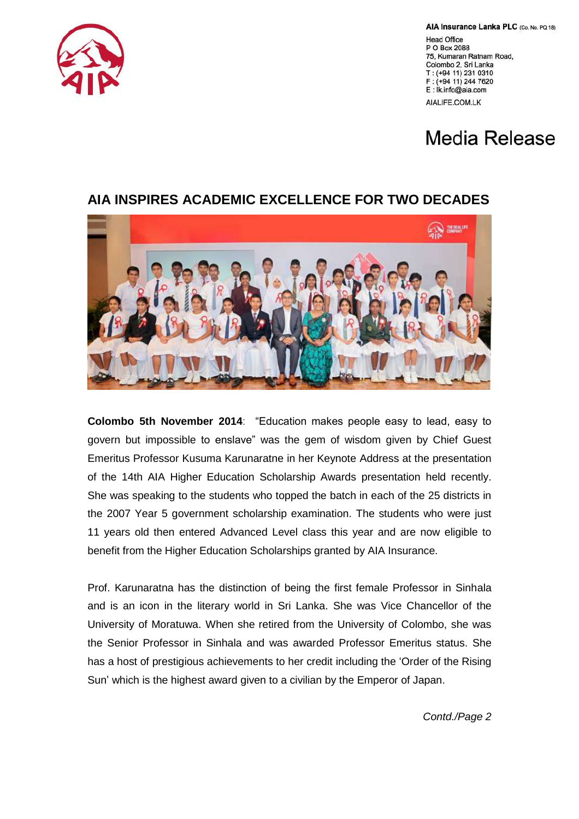

AIA Insurance Lanka PLC (Co. No. PQ 18)

**Head Office** P O Box 2088 75, Kumaran Ratnam Road, Colombo 2, Sri Lanka T: (+94 11) 231 0310 F: (+94 11) 244 7620 E: Ik.info@aia.com

AIALIFE.COM.LK

## Media Release

## **AIA INSPIRES ACADEMIC EXCELLENCE FOR TWO DECADES**



**Colombo 5th November 2014**: "Education makes people easy to lead, easy to govern but impossible to enslave" was the gem of wisdom given by Chief Guest Emeritus Professor Kusuma Karunaratne in her Keynote Address at the presentation of the 14th AIA Higher Education Scholarship Awards presentation held recently. She was speaking to the students who topped the batch in each of the 25 districts in the 2007 Year 5 government scholarship examination. The students who were just 11 years old then entered Advanced Level class this year and are now eligible to benefit from the Higher Education Scholarships granted by AIA Insurance.

Prof. Karunaratna has the distinction of being the first female Professor in Sinhala and is an icon in the literary world in Sri Lanka. She was Vice Chancellor of the University of Moratuwa. When she retired from the University of Colombo, she was the Senior Professor in Sinhala and was awarded Professor Emeritus status. She has a host of prestigious achievements to her credit including the "Order of the Rising Sun" which is the highest award given to a civilian by the Emperor of Japan.

*Contd./Page 2*